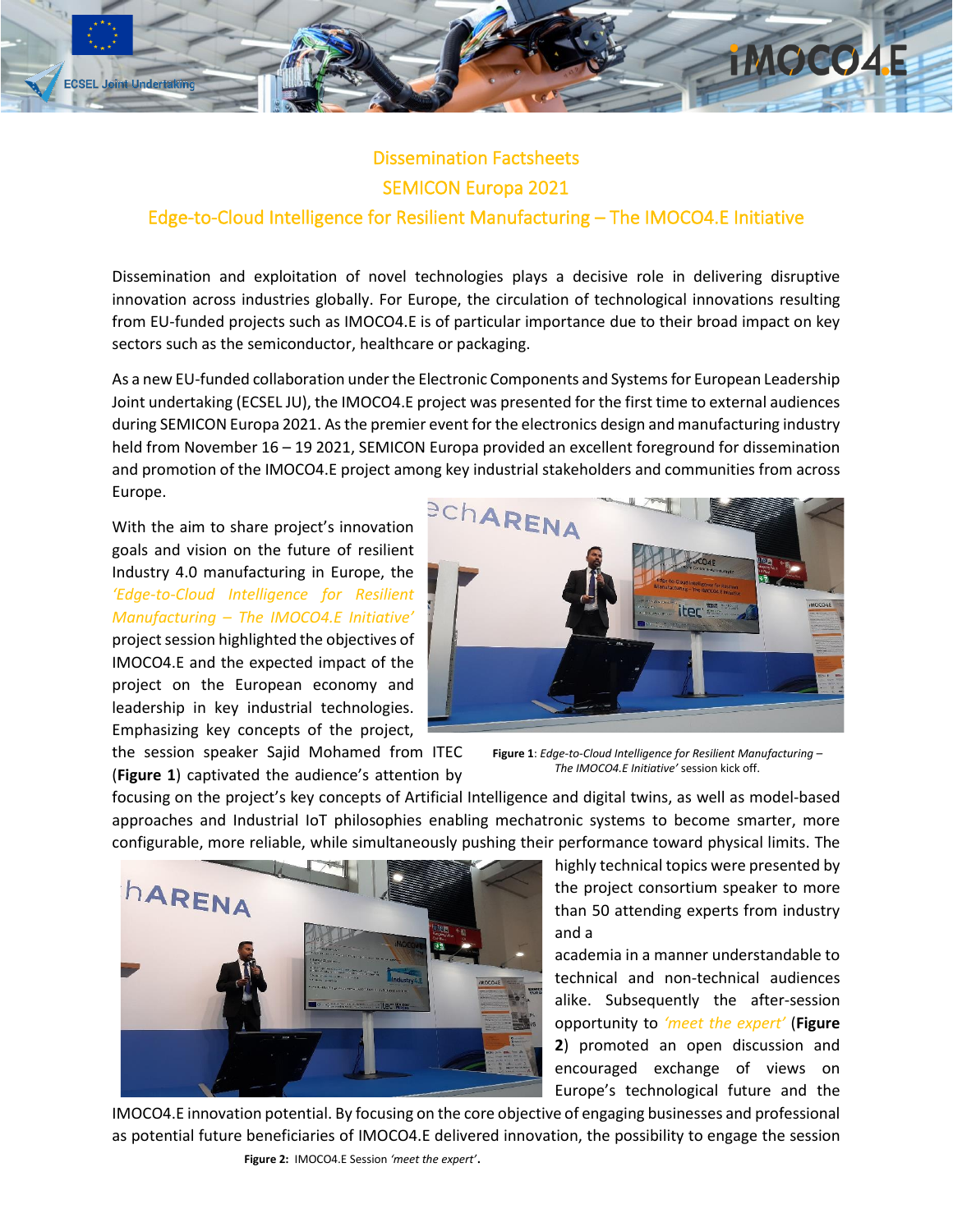

## Dissemination Factsheets SEMICON Europa 2021 Edge-to-Cloud Intelligence for Resilient Manufacturing – The IMOCO4.E Initiative

Dissemination and exploitation of novel technologies plays a decisive role in delivering disruptive innovation across industries globally. For Europe, the circulation of technological innovations resulting from EU-funded projects such as IMOCO4.E is of particular importance due to their broad impact on key sectors such as the semiconductor, healthcare or packaging.

As a new EU-funded collaboration under the Electronic Components and Systems for European Leadership Joint undertaking (ECSEL JU), the IMOCO4.E project was presented for the first time to external audiences during SEMICON Europa 2021. As the premier event for the electronics design and manufacturing industry held from November 16 – 19 2021, SEMICON Europa provided an excellent foreground for dissemination and promotion of the IMOCO4.E project among key industrial stakeholders and communities from across Europe.

With the aim to share project's innovation goals and vision on the future of resilient Industry 4.0 manufacturing in Europe, the *'Edge-to-Cloud Intelligence for Resilient Manufacturing – The IMOCO4.E Initiative'* project session highlighted the objectives of IMOCO4.E and the expected impact of the project on the European economy and leadership in key industrial technologies. Emphasizing key concepts of the project,



the session speaker Sajid Mohamed from ITEC (**Figure 1**) captivated the audience's attention by

**Figure 1**: *Edge-to-Cloud Intelligence for Resilient Manufacturing – The IMOCO4.E Initiative'* session kick off.

focusing on the project's key concepts of Artificial Intelligence and digital twins, as well as model-based approaches and Industrial IoT philosophies enabling mechatronic systems to become smarter, more configurable, more reliable, while simultaneously pushing their performance toward physical limits. The



highly technical topics were presented by the project consortium speaker to more than 50 attending experts from industry and a

academia in a manner understandable to technical and non-technical audiences alike. Subsequently the after-session opportunity to *'meet the expert'* (**Figure 2**) promoted an open discussion and encouraged exchange of views on Europe's technological future and the

IMOCO4.E innovation potential. By focusing on the core objective of engaging businesses and professional as potential future beneficiaries of IMOCO4.E delivered innovation, the possibility to engage the session

**Figure 2:** IMOCO4.E Session *'meet the expert'*.